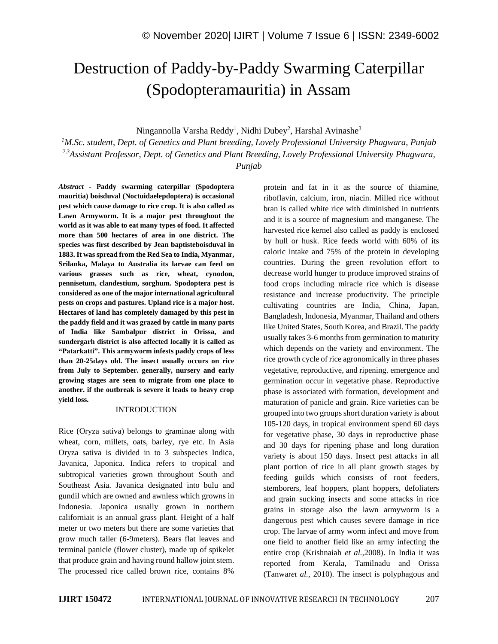# Destruction of Paddy-by-Paddy Swarming Caterpillar (Spodopteramauritia) in Assam

Ningannolla Varsha Reddy<sup>1</sup>, Nidhi Dubey<sup>2</sup>, Harshal Avinashe<sup>3</sup>

*<sup>1</sup>M.Sc. student, Dept. of Genetics and Plant breeding, Lovely Professional University Phagwara, Punjab 2,3Assistant Professor, Dept. of Genetics and Plant Breeding, Lovely Professional University Phagwara, Punjab*

*Abstract -* **Paddy swarming caterpillar (Spodoptera mauritia) boisduval (Noctuidaelepdoptera) is occasional pest which cause damage to rice crop. It is also called as Lawn Armyworm. It is a major pest throughout the world as it was able to eat many types of food. It affected more than 500 hectares of area in one district. The species was first described by Jean baptisteboisduval in 1883. It was spread from the Red Sea to India, Myanmar, Srilanka, Malaya to Australia its larvae can feed on various grasses such as rice, wheat, cynodon, pennisetum, clandestium, sorghum. Spodoptera pest is considered as one of the major international agricultural pests on crops and pastures. Upland rice is a major host. Hectares of land has completely damaged by this pest in the paddy field and it was grazed by cattle in many parts of India like Sambalpur district in Orissa, and sundergarh district is also affected locally it is called as "Patarkatti". This armyworm infests paddy crops of less than 20-25days old. The insect usually occurs on rice from July to September. generally, nursery and early growing stages are seen to migrate from one place to another. if the outbreak is severe it leads to heavy crop yield loss.**

#### INTRODUCTION

Rice (Oryza sativa) belongs to graminae along with wheat, corn, millets, oats, barley, rye etc. In Asia Oryza sativa is divided in to 3 subspecies Indica, Javanica, Japonica. Indica refers to tropical and subtropical varieties grown throughout South and Southeast Asia. Javanica designated into bulu and gundil which are owned and awnless which growns in Indonesia. Japonica usually grown in northern californiait is an annual grass plant. Height of a half meter or two meters but there are some varieties that grow much taller (6-9meters). Bears flat leaves and terminal panicle (flower cluster), made up of spikelet that produce grain and having round hallow joint stem. The processed rice called brown rice, contains 8%

protein and fat in it as the source of thiamine, riboflavin, calcium, iron, niacin. Milled rice without bran is called white rice with diminished in nutrients and it is a source of magnesium and manganese. The harvested rice kernel also called as paddy is enclosed by hull or husk. Rice feeds world with 60% of its caloric intake and 75% of the protein in developing countries. During the green revolution effort to decrease world hunger to produce improved strains of food crops including miracle rice which is disease resistance and increase productivity. The principle cultivating countries are India, China, Japan, Bangladesh, Indonesia, Myanmar, Thailand and others like United States, South Korea, and Brazil. The paddy usually takes 3-6 months from germination to maturity which depends on the variety and environment. The rice growth cycle of rice agronomically in three phases vegetative, reproductive, and ripening. emergence and germination occur in vegetative phase. Reproductive phase is associated with formation, development and maturation of panicle and grain. Rice varieties can be grouped into two groups short duration variety is about 105-120 days, in tropical environment spend 60 days for vegetative phase, 30 days in reproductive phase and 30 days for ripening phase and long duration variety is about 150 days. Insect pest attacks in all plant portion of rice in all plant growth stages by feeding guilds which consists of root feeders, stemborers, leaf hoppers, plant hoppers, defoliaters and grain sucking insects and some attacks in rice grains in storage also the lawn armyworm is a dangerous pest which causes severe damage in rice crop. The larvae of army worm infect and move from one field to another field like an army infecting the entire crop (Krishnaiah *et al.,*2008). In India it was reported from Kerala, Tamilnadu and Orissa (Tanwar*et al.,* 2010). The insect is polyphagous and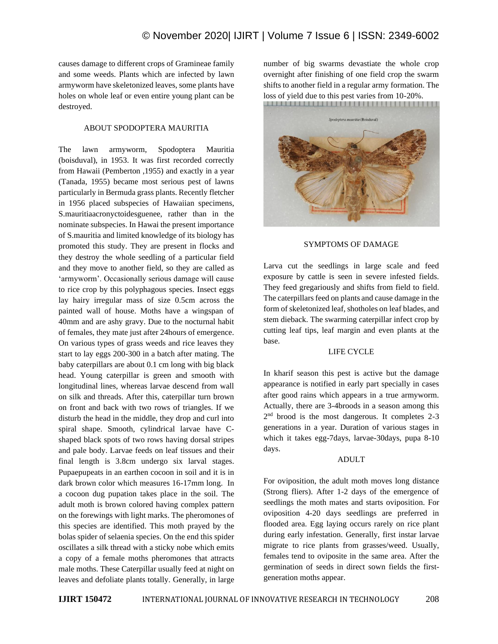causes damage to different crops of Gramineae family and some weeds. Plants which are infected by lawn armyworm have skeletonized leaves, some plants have holes on whole leaf or even entire young plant can be destroyed.

## ABOUT SPODOPTERA MAURITIA

The lawn armyworm, Spodoptera Mauritia (boisduval), in 1953. It was first recorded correctly from Hawaii (Pemberton ,1955) and exactly in a year (Tanada, 1955) became most serious pest of lawns particularly in Bermuda grass plants. Recently fletcher in 1956 placed subspecies of Hawaiian specimens, S.mauritiaacronyctoidesguenee, rather than in the nominate subspecies. In Hawai the present importance of S.mauritia and limited knowledge of its biology has promoted this study. They are present in flocks and they destroy the whole seedling of a particular field and they move to another field, so they are called as 'armyworm'. Occasionally serious damage will cause to rice crop by this polyphagous species. Insect eggs lay hairy irregular mass of size 0.5cm across the painted wall of house. Moths have a wingspan of 40mm and are ashy gravy. Due to the nocturnal habit of females, they mate just after 24hours of emergence. On various types of grass weeds and rice leaves they start to lay eggs 200-300 in a batch after mating. The baby caterpillars are about 0.1 cm long with big black head. Young caterpillar is green and smooth with longitudinal lines, whereas larvae descend from wall on silk and threads. After this, caterpillar turn brown on front and back with two rows of triangles. If we disturb the head in the middle, they drop and curl into spiral shape. Smooth, cylindrical larvae have Cshaped black spots of two rows having dorsal stripes and pale body. Larvae feeds on leaf tissues and their final length is 3.8cm undergo six larval stages. Pupaepupeats in an earthen cocoon in soil and it is in dark brown color which measures 16-17mm long. In a cocoon dug pupation takes place in the soil. The adult moth is brown colored having complex pattern on the forewings with light marks. The pheromones of this species are identified. This moth prayed by the bolas spider of selaenia species. On the end this spider oscillates a silk thread with a sticky nobe which emits a copy of a female moths pheromones that attracts male moths. These Caterpillar usually feed at night on leaves and defoliate plants totally. Generally, in large number of big swarms devastiate the whole crop overnight after finishing of one field crop the swarm shifts to another field in a regular army formation. The loss of yield due to this pest varies from 10-20%.



#### SYMPTOMS OF DAMAGE

Larva cut the seedlings in large scale and feed exposure by cattle is seen in severe infested fields. They feed gregariously and shifts from field to field. The caterpillars feed on plants and cause damage in the form of skeletonized leaf, shotholes on leaf blades, and stem dieback. The swarming caterpillar infect crop by cutting leaf tips, leaf margin and even plants at the base.

## LIFE CYCLE

In kharif season this pest is active but the damage appearance is notified in early part specially in cases after good rains which appears in a true armyworm. Actually, there are 3-4broods in a season among this 2<sup>nd</sup> brood is the most dangerous. It completes 2-3 generations in a year. Duration of various stages in which it takes egg-7days, larvae-30days, pupa 8-10 days.

#### ADULT

For oviposition, the adult moth moves long distance (Strong fliers). After 1-2 days of the emergence of seedlings the moth mates and starts oviposition. For oviposition 4-20 days seedlings are preferred in flooded area. Egg laying occurs rarely on rice plant during early infestation. Generally, first instar larvae migrate to rice plants from grasses/weed. Usually, females tend to oviposite in the same area. After the germination of seeds in direct sown fields the firstgeneration moths appear.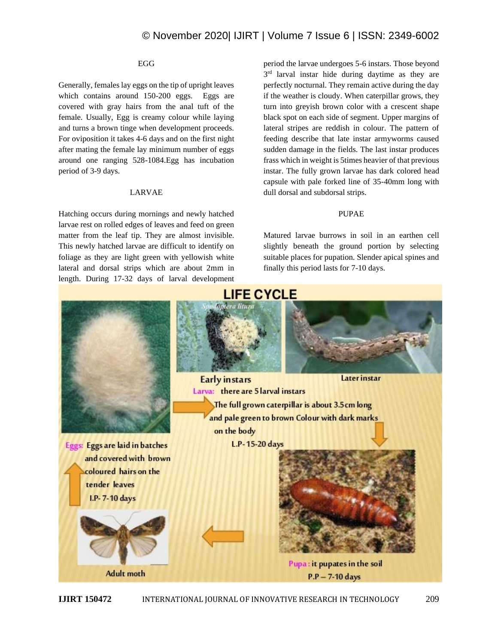#### EGG

Generally, females lay eggs on the tip of upright leaves which contains around 150-200 eggs. Eggs are covered with gray hairs from the anal tuft of the female. Usually, Egg is creamy colour while laying and turns a brown tinge when development proceeds. For oviposition it takes 4-6 days and on the first night after mating the female lay minimum number of eggs around one ranging 528-1084.Egg has incubation period of 3-9 days.

## LARVAE

Hatching occurs during mornings and newly hatched larvae rest on rolled edges of leaves and feed on green matter from the leaf tip. They are almost invisible. This newly hatched larvae are difficult to identify on foliage as they are light green with yellowish white lateral and dorsal strips which are about 2mm in length. During 17-32 days of larval development

period the larvae undergoes 5-6 instars. Those beyond 3<sup>rd</sup> larval instar hide during daytime as they are perfectly nocturnal. They remain active during the day if the weather is cloudy. When caterpillar grows, they turn into greyish brown color with a crescent shape black spot on each side of segment. Upper margins of lateral stripes are reddish in colour. The pattern of feeding describe that late instar armyworms caused sudden damage in the fields. The last instar produces frass which in weight is 5times heavier of that previous instar. The fully grown larvae has dark colored head capsule with pale forked line of 35-40mm long with dull dorsal and subdorsal strips.

#### PUPAE

Matured larvae burrows in soil in an earthen cell slightly beneath the ground portion by selecting suitable places for pupation. Slender apical spines and finally this period lasts for 7-10 days.